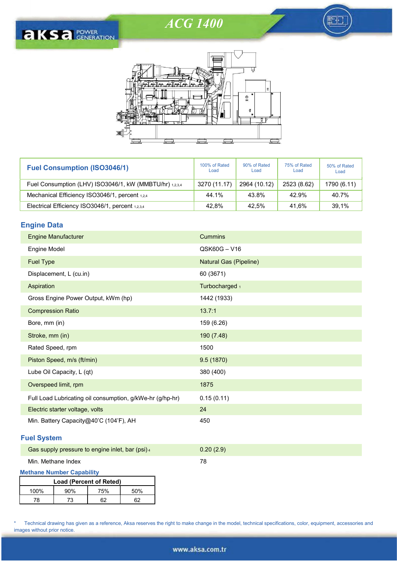FI





| <b>Fuel Consumption (ISO3046/1)</b>                     | 100% of Rated<br>Load | 90% of Rated<br>Load | 75% of Rated<br>Load | 50% of Rated<br>Load |
|---------------------------------------------------------|-----------------------|----------------------|----------------------|----------------------|
| Fuel Consumption (LHV) ISO3046/1, kW (MMBTU/hr) 1,2,3,4 | 3270 (11.17)          | 2964 (10.12)         | 2523 (8.62)          | 1790 (6.11)          |
| Mechanical Efficiency ISO3046/1, percent 1,2,4          | 44.1%                 | 43.8%                | 42.9%                | 40.7%                |
| Electrical Efficiency ISO3046/1, percent 1,2,3,4        | 42.8%                 | 42,5%                | 41.6%                | 39,1%                |

## Engine Data

| <b>Engine Manufacturer</b>                                | Cummins                |
|-----------------------------------------------------------|------------------------|
| Engine Model                                              | QSK60G-V16             |
| <b>Fuel Type</b>                                          | Natural Gas (Pipeline) |
| Displacement, L (cu.in)                                   | 60 (3671)              |
| Aspiration                                                | Turbocharged 1         |
| Gross Engine Power Output, kWm (hp)                       | 1442 (1933)            |
| <b>Compression Ratio</b>                                  | 13.7:1                 |
| Bore, mm (in)                                             | 159 (6.26)             |
| Stroke, mm (in)                                           | 190 (7.48)             |
| Rated Speed, rpm                                          | 1500                   |
| Piston Speed, m/s (ft/min)                                | 9.5(1870)              |
| Lube Oil Capacity, L (qt)                                 | 380 (400)              |
| Overspeed limit, rpm                                      | 1875                   |
| Full Load Lubricating oil consumption, g/kWe-hr (g/hp-hr) | 0.15(0.11)             |
| Electric starter voltage, volts                           | 24                     |
| Min. Battery Capacity@40'C (104'F), AH                    | 450                    |

# Fuel System

i

| Gas supply pressure to engine inlet, bar (psi) 4 | 0.20(2.9) |
|--------------------------------------------------|-----------|
|                                                  |           |

# Min. Methane Index 78

Methane Number Capability

| Load (Percent of Reted) |     |     |     |  |  |
|-------------------------|-----|-----|-----|--|--|
| $100\%$                 | 90% | 75% | 50% |  |  |
| 78                      | 73  | ຂາ  |     |  |  |

\* Technical drawing has given as a reference, Aksa reserves the right to make change in the model, technical specifications, color, equipment, accessories and images without prior notice.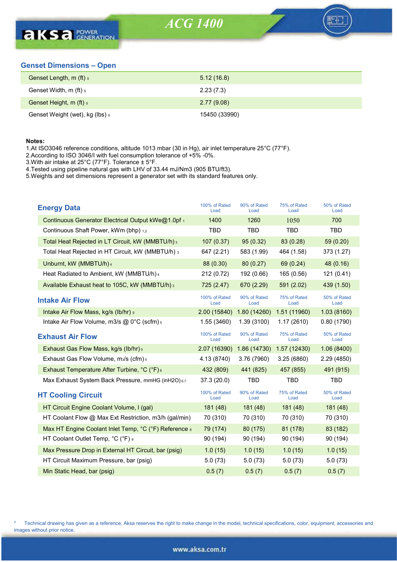

## Genset Dimensions – Open

| Genset Length, m (ft) 5         | 5.12(16.8)    |
|---------------------------------|---------------|
| Genset Width, m (ft) $_5$       | 2.23(7.3)     |
| Genset Height, m (ft) 5         | 2.77(9.08)    |
| Genset Weight (wet), kg (lbs) 5 | 15450 (33990) |

### Notes:

i

1.At ISO3046 reference conditions, altitude 1013 mbar (30 in Hg), air inlet temperature 25°C (77°F).

2.According to ISO 3046/I with fuel consumption tolerance of +5% -0%.

3.With air intake at 25°C (77°F). Tolerance ± 5°F.

4.Tested using pipeline natural gas with LHV of 33.44 mJ/Nm3 (905 BTU/ft3).

5.Weights and set dimensions represent a generator set with its standard features only.

| <b>Energy Data</b>                                            | 100% of Rated<br>Load | 90% of Rated<br>Load | 75% of Rated<br>Load | 50% of Rated<br>Load |
|---------------------------------------------------------------|-----------------------|----------------------|----------------------|----------------------|
| Continuous Generator Electrical Output kWe@1.0pf 1            | 1400                  | 1260                 | 1050                 | 700                  |
| Continuous Shaft Power, kWm (bhp) 1,2                         | TBD                   | TBD                  | <b>TBD</b>           | <b>TBD</b>           |
| Total Heat Rejected in LT Circuit, kW (MMBTU/h) 3             | 107(0.37)             | 95(0.32)             | 83 (0.28)            | 59 (0.20)            |
| Total Heat Rejected in HT Circuit, kW (MMBTU/h) 3             | 647 (2.21)            | 583 (1.99)           | 464 (1.58)           | 373 (1.27)           |
| Unburnt, kW (MMBTU/h) 4                                       | 88 (0.30)             | 80(0.27)             | 69 (0.24)            | 48 (0.16)            |
| Heat Radiated to Ambient, kW (MMBTU/h) 4                      | 212 (0.72)            | 192 (0.66)           | 165 (0.56)           | 121 (0.41)           |
| Available Exhaust heat to 105C, kW (MMBTU/h) 3                | 725 (2.47)            | 670 (2.29)           | 591 (2.02)           | 439 (1.50)           |
| <b>Intake Air Flow</b>                                        | 100% of Rated<br>Load | 90% of Rated<br>Load | 75% of Rated<br>Load | 50% of Rated<br>Load |
| Intake Air Flow Mass, kg/s (lb/hr) 5                          | 2.00 (15840)          | 1.80(14260)          | 1.51 (11960)         | 1.03(8160)           |
| Intake Air Flow Volume, m3/s $@$ 0°C (scfm) $s$               | 1.55(3460)            | 1.39(3100)           | 1.17(2610)           | 0.80(1790)           |
| <b>Exhaust Air Flow</b>                                       | 100% of Rated<br>Load | 90% of Rated<br>Load | 75% of Rated<br>Load | 50% of Rated<br>Load |
| Exhaust Gas Flow Mass, kg/s (lb/hr) 5                         | 2.07 (16390)          | 1.86 (14730)         | 1.57 (12430)         | 1.06(8400)           |
| Exhaust Gas Flow Volume, m <sub>3</sub> /s (cfm) <sub>5</sub> | 4.13 (8740)           | 3.76 (7960)          | 3.25(6860)           | 2.29 (4850)          |
| Exhaust Temperature After Turbine, °C (°F) 6                  | 432 (809)             | 441 (825)            | 457 (855)            | 491 (915)            |
| Max Exhaust System Back Pressure, mmHG (inH2O) 6,7            | 37.3(20.0)            | TBD                  | TBD                  | <b>TBD</b>           |
| <b>HT Cooling Circuit</b>                                     | 100% of Rated<br>Load | 90% of Rated<br>Load | 75% of Rated<br>Load | 50% of Rated<br>Load |
| HT Circuit Engine Coolant Volume, I (gal)                     | 181(48)               | 181(48)              | 181(48)              | 181 (48)             |
| HT Coolant Flow @ Max Ext Restriction, m3/h (gal/min)         | 70 (310)              | 70 (310)             | 70 (310)             | 70 (310)             |
| Max HT Engine Coolant Inlet Temp, °C (°F) Reference a         | 79 (174)              | 80 (175)             | 81 (178)             | 83 (182)             |
| HT Coolant Outlet Temp, °C (°F) 8                             | 90 (194)              | 90 (194)             | 90 (194)             | 90 (194)             |
| Max Pressure Drop in External HT Circuit, bar (psig)          | 1.0(15)               | 1.0(15)              | 1.0(15)              | 1.0(15)              |
| HT Circuit Maximum Pressure, bar (psig)                       | 5.0(73)               | 5.0(73)              | 5.0(73)              | 5.0(73)              |
| Min Static Head, bar (psig)                                   | 0.5(7)                | 0.5(7)               | 0.5(7)               | 0.5(7)               |

Technical drawing has given as a reference, Aksa reserves the right to make change in the model, technical specifications, color, equipment, accessories and images without prior notice.